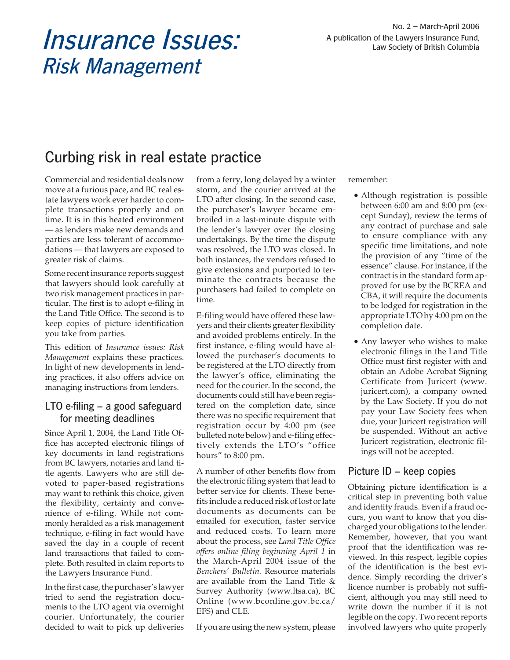# Insurance Issues:<br>A publication of the Lawyers Insurance Fund,<br>Law Society of British Columbia Risk Management

# Curbing risk in real estate practice

Commercial and residential deals now move at a furious pace, and BC real estate lawyers work ever harder to complete transactions properly and on time. It is in this heated environment — as lenders make new demands and parties are less tolerant of accommodations — that lawyers are exposed to greater risk of claims.

Some recent insurance reports suggest that lawyers should look carefully at two risk management practices in particular. The first is to adopt e-filing in the Land Title Office. The second is to keep copies of picture identification you take from parties.

This edition of *Insurance issues: Risk Management* explains these practices. In light of new developments in lending practices, it also offers advice on managing instructions from lenders.

# LTO e-filing – a good safeguard for meeting deadlines

Since April 1, 2004, the Land Title Office has accepted electronic filings of key documents in land registrations from BC lawyers, notaries and land title agents. Lawyers who are still devoted to paper-based registrations may want to rethink this choice, given the flexibility, certainty and convenience of e-filing. While not commonly heralded as a risk management technique, e-filing in fact would have saved the day in a couple of recent land transactions that failed to complete. Both resulted in claim reports to the Lawyers Insurance Fund.

In the first case, the purchaser's lawyer tried to send the registration documents to the LTO agent via overnight courier. Unfortunately, the courier decided to wait to pick up deliveries

from a ferry, long delayed by a winter storm, and the courier arrived at the LTO after closing. In the second case, the purchaser's lawyer became embroiled in a last-minute dispute with the lender's lawyer over the closing undertakings. By the time the dispute was resolved, the LTO was closed. In both instances, the vendors refused to give extensions and purported to terminate the contracts because the purchasers had failed to complete on time.

E-filing would have offered these lawyers and their clients greater flexibility and avoided problems entirely. In the first instance, e-filing would have allowed the purchaser's documents to be registered at the LTO directly from the lawyer's office, eliminating the need for the courier. In the second, the documents could still have been registered on the completion date, since there was no specific requirement that registration occur by 4:00 pm (see bulleted note below) and e-filing effectively extends the LTO's "office hours" to 8:00 pm.

A number of other benefits flow from the electronic filing system that lead to better service for clients. These benefits include a reduced risk of lost or late documents as documents can be emailed for execution, faster service and reduced costs. To learn more about the process, see *Land Title Office offers online filing beginning April 1* in the March-April 2004 issue of the *Benchers' Bulletin.* Resource materials are available from the Land Title & Survey Authority (www.ltsa.ca), BC Online (www.bconline.gov.bc.ca/ EFS) and CLE.

If you are using the new system, please

remember:

- **-** Although registration is possible between 6:00 am and 8:00 pm (except Sunday), review the terms of any contract of purchase and sale to ensure compliance with any specific time limitations, and note the provision of any "time of the essence" clause. For instance, if the contract is in the standard form approved for use by the BCREA and CBA, it will require the documents to be lodged for registration in the appropriate LTO by 4:00 pm on the completion date.
- **-** Any lawyer who wishes to make electronic filings in the Land Title Office must first register with and obtain an Adobe Acrobat Signing Certificate from Juricert (www. juricert.com), a company owned by the Law Society. If you do not pay your Law Society fees when due, your Juricert registration will be suspended. Without an active Juricert registration, electronic filings will not be accepted.

# Picture ID – keep copies

Obtaining picture identification is a critical step in preventing both value and identity frauds. Even if a fraud occurs, you want to know that you discharged your obligations to the lender. Remember, however, that you want proof that the identification was reviewed. In this respect, legible copies of the identification is the best evidence. Simply recording the driver's licence number is probably not sufficient, although you may still need to write down the number if it is not legible on the copy. Two recent reports involved lawyers who quite properly